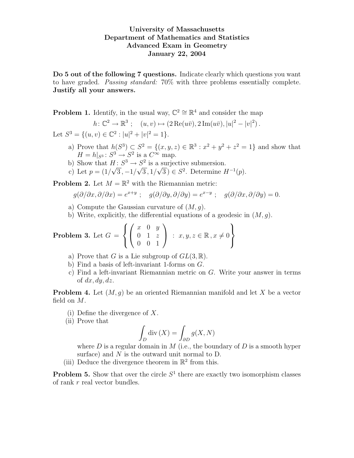## University of Massachusetts Department of Mathematics and Statistics Advanced Exam in Geometry January 22, 2004

Do 5 out of the following 7 questions. Indicate clearly which questions you want to have graded. Passing standard: 70% with three problems essentially complete. Justify all your answers.

**Problem 1.** Identify, in the usual way,  $\mathbb{C}^2 \cong \mathbb{R}^4$  and consider the map

$$
h\colon \mathbb{C}^2 \to \mathbb{R}^3 \; ; \quad (u,v) \mapsto (2\operatorname{Re}(u\bar{v}), 2\operatorname{Im}(u\bar{v}), |u|^2 - |v|^2) \, .
$$

Let  $S^3 = \{(u, v) \in \mathbb{C}^2 : |u|^2 + |v|^2 = 1\}.$ 

- a) Prove that  $h(S^3) \subset S^2 = \{(x, y, z) \in \mathbb{R}^3 : x^2 + y^2 + z^2 = 1\}$  and show that  $H = h|_{S^3}: S^3 \to S^2$  is a  $C^{\infty}$  map.
- b) Show that  $H: S^3 \to S^2$  is a surjective submersion.
- c) Let  $p = (1/\sqrt{3}, -1/\sqrt{3}, 1/\sqrt{3}) \in S^2$ . Determine  $H^{-1}(p)$ .

**Problem 2.** Let  $M = \mathbb{R}^2$  with the Riemannian metric:

$$
g(\partial/\partial x, \partial/\partial x) = e^{x+y} \; ; \quad g(\partial/\partial y, \partial/\partial y) = e^{x-y} \; ; \quad g(\partial/\partial x, \partial/\partial y) = 0.
$$

- a) Compute the Gaussian curvature of  $(M, g)$ .
- b) Write, explicitly, the differential equations of a geodesic in  $(M, q)$ .

**Problem 3.** Let 
$$
G = \left\{ \begin{pmatrix} x & 0 & y \\ 0 & 1 & z \\ 0 & 0 & 1 \end{pmatrix} : x, y, z \in \mathbb{R}, x \neq 0 \right\}
$$

- a) Prove that G is a Lie subgroup of  $GL(3,\mathbb{R})$ .
- b) Find a basis of left-invariant 1-forms on G.
- c) Find a left-invariant Riemannian metric on G. Write your answer in terms of  $dx, dy, dz$ .

**Problem 4.** Let  $(M, g)$  be an oriented Riemannian manifold and let X be a vector field on M.

- (i) Define the divergence of X.
- (ii) Prove that

$$
\int_D \operatorname{div}\left(X\right) = \int_{\partial D} g(X, N)
$$

where  $D$  is a regular domain in  $M$  (i.e., the boundary of  $D$  is a smooth hyper surface) and  $N$  is the outward unit normal to  $D$ .

(iii) Deduce the divergence theorem in  $\mathbb{R}^2$  from this.

**Problem 5.** Show that over the circle  $S<sup>1</sup>$  there are exactly two isomorphism classes of rank  $r$  real vector bundles.